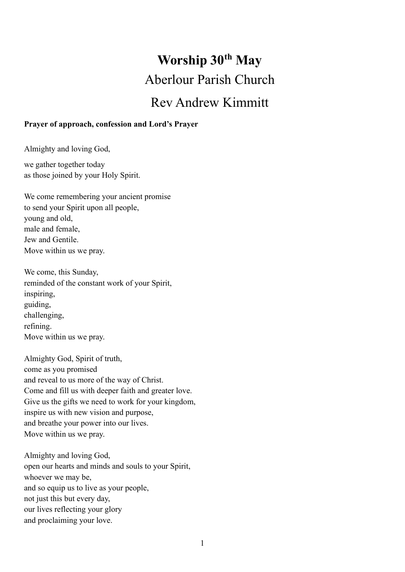# **Worship 30th May** Aberlour Parish Church Rev Andrew Kimmitt

#### **Prayer of approach, confession and Lord's Prayer**

Almighty and loving God,

we gather together today as those joined by your Holy Spirit.

We come remembering your ancient promise to send your Spirit upon all people, young and old, male and female, Jew and Gentile. Move within us we pray.

We come, this Sunday, reminded of the constant work of your Spirit, inspiring, guiding, challenging, refining. Move within us we pray.

Almighty God, Spirit of truth, come as you promised and reveal to us more of the way of Christ. Come and fill us with deeper faith and greater love. Give us the gifts we need to work for your kingdom, inspire us with new vision and purpose, and breathe your power into our lives. Move within us we pray.

Almighty and loving God, open our hearts and minds and souls to your Spirit, whoever we may be, and so equip us to live as your people, not just this but every day, our lives reflecting your glory and proclaiming your love.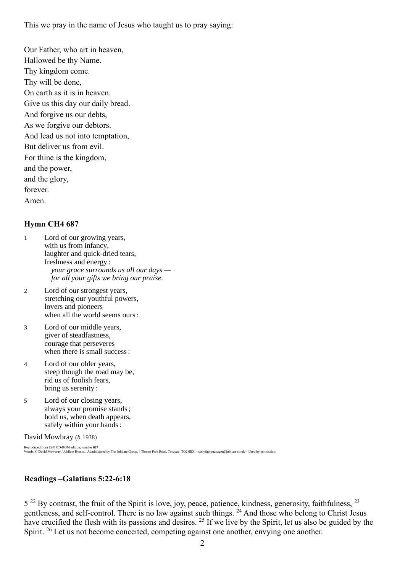This we pray in the name of Jesus who taught us to pray saying:

Our Father, who art in heaven,

Hallowed be thy Name.

Thy kingdom come.

Thy will be done,

On earth as it is in heaven.

Give us this day our daily bread.

And forgive us our debts,

As we forgive our debtors.

And lead us not into temptation,

But deliver us from evil.

For thine is the kingdom,

and the power,

and the glory,

forever.

Amen.

### **Hymn CH4 687**

1 Lord of our growing years, with us from infancy, laughter and quick-dried tears, freshness and energy : *your grace surrounds us all our days for all your gifts we bring our praise.*

2 Lord of our strongest years, stretching our youthful powers, lovers and pioneers when all the world seems ours :

3 Lord of our middle years, giver of steadfastness, courage that perseveres when there is small success :

4 Lord of our older years, steep though the road may be, rid us of foolish fears, bring us serenity :

5 Lord of our closing years, always your promise stands ; hold us, when death appears, safely within your hands :

David Mowbray (*b.*1938)

Reproduced from CH4 CD-ROM edition, number <mark>687</mark><br>Words: © David Mowbray / Jubilate Hymns. Administered by The Jubilate Group, 4 Thorne Park Road, Torquay TQ2 6RX <copyrightmanager@jubilate.co.uk> Used by permission.

## **Readings –Galatians 5:22-6:18**

5<sup>22</sup> By contrast, the fruit of the Spirit is love, joy, peace, patience, kindness, generosity, faithfulness, <sup>23</sup> gentleness, and self-control. There is no law against such things. <sup>24</sup> And those who belong to Christ Jesus have crucified the flesh with its passions and desires. <sup>25</sup> If we live by the Spirit, let us also be guided by the Spirit. <sup>26</sup> Let us not become conceited, competing against one another, envying one another.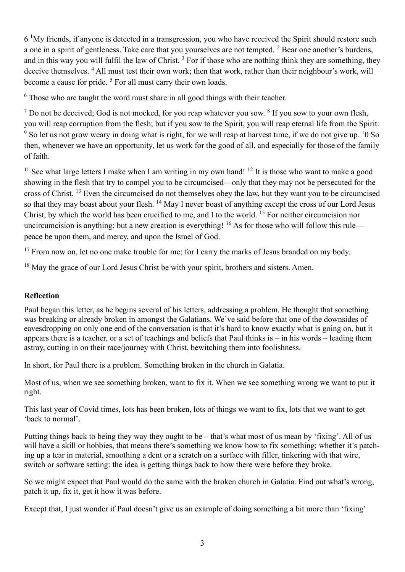6 <sup>1</sup>My friends, if anyone is detected in a transgression, you who have received the Spirit should restore such a one in a spirit of gentleness. Take care that you yourselves are not tempted.  $2$  Bear one another's burdens, and in this way you will fulfil the law of Christ.<sup>3</sup> For if those who are nothing think they are something, they deceive themselves. <sup>4</sup> All must test their own work; then that work, rather than their neighbour's work, will become a cause for pride.<sup>5</sup> For all must carry their own loads.

 $6$  Those who are taught the word must share in all good things with their teacher.

 $<sup>7</sup>$  Do not be deceived; God is not mocked, for you reap whatever you sow.  $<sup>8</sup>$  If you sow to your own flesh,</sup></sup> you will reap corruption from the flesh; but if you sow to the Spirit, you will reap eternal life from the Spirit. <sup>9</sup> So let us not grow weary in doing what is right, for we will reap at harvest time, if we do not give up. <sup>1</sup>0 So then, whenever we have an opportunity, let us work for the good of all, and especially for those of the family of faith.

<sup>11</sup> See what large letters I make when I am writing in my own hand! <sup>12</sup> It is those who want to make a good showing in the flesh that try to compel you to be circumcised—only that they may not be persecuted for the cross of Christ. <sup>13</sup> Even the circumcised do not themselves obey the law, but they want you to be circumcised so that they may boast about your flesh. <sup>14</sup> May I never boast of anything except the cross of our Lord Jesus Christ, by which the world has been crucified to me, and I to the world. <sup>15</sup> For neither circumcision nor uncircumcision is anything; but a new creation is everything! <sup>16</sup> As for those who will follow this rule peace be upon them, and mercy, and upon the Israel of God.

 $17$  From now on, let no one make trouble for me; for I carry the marks of Jesus branded on my body.

<sup>18</sup> May the grace of our Lord Jesus Christ be with your spirit, brothers and sisters. Amen.

## **Reflection**

Paul began this letter, as he begins several of his letters, addressing a problem. He thought that something was breaking or already broken in amongst the Galatians. We've said before that one of the downsides of eavesdropping on only one end of the conversation is that it's hard to know exactly what is going on, but it appears there is a teacher, or a set of teachings and beliefs that Paul thinks is – in his words – leading them astray, cutting in on their race/journey with Christ, bewitching them into foolishness.

In short, for Paul there is a problem. Something broken in the church in Galatia.

Most of us, when we see something broken, want to fix it. When we see something wrong we want to put it right.

This last year of Covid times, lots has been broken, lots of things we want to fix, lots that we want to get 'back to normal'.

Putting things back to being they way they ought to be – that's what most of us mean by 'fixing'. All of us will have a skill or hobbies, that means there's something we know how to fix something: whether it's patching up a tear in material, smoothing a dent or a scratch on a surface with filler, tinkering with that wire, switch or software setting: the idea is getting things back to how there were before they broke.

So we might expect that Paul would do the same with the broken church in Galatia. Find out what's wrong, patch it up, fix it, get it how it was before.

Except that, I just wonder if Paul doesn't give us an example of doing something a bit more than 'fixing'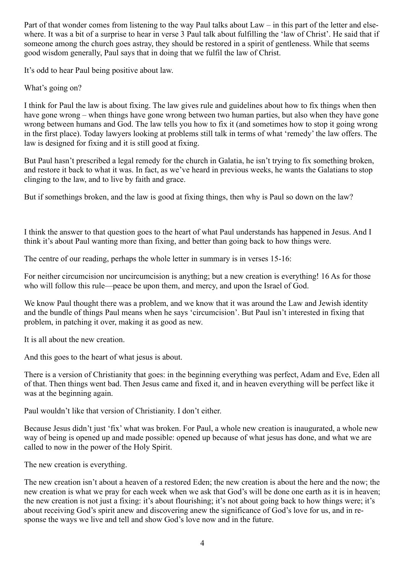Part of that wonder comes from listening to the way Paul talks about Law – in this part of the letter and elsewhere. It was a bit of a surprise to hear in verse 3 Paul talk about fulfilling the 'law of Christ'. He said that if someone among the church goes astray, they should be restored in a spirit of gentleness. While that seems good wisdom generally, Paul says that in doing that we fulfil the law of Christ.

It's odd to hear Paul being positive about law.

What's going on?

I think for Paul the law is about fixing. The law gives rule and guidelines about how to fix things when then have gone wrong – when things have gone wrong between two human parties, but also when they have gone wrong between humans and God. The law tells you how to fix it (and sometimes how to stop it going wrong in the first place). Today lawyers looking at problems still talk in terms of what 'remedy' the law offers. The law is designed for fixing and it is still good at fixing.

But Paul hasn't prescribed a legal remedy for the church in Galatia, he isn't trying to fix something broken, and restore it back to what it was. In fact, as we've heard in previous weeks, he wants the Galatians to stop clinging to the law, and to live by faith and grace.

But if somethings broken, and the law is good at fixing things, then why is Paul so down on the law?

I think the answer to that question goes to the heart of what Paul understands has happened in Jesus. And I think it's about Paul wanting more than fixing, and better than going back to how things were.

The centre of our reading, perhaps the whole letter in summary is in verses 15-16:

For neither circumcision nor uncircumcision is anything; but a new creation is everything! 16 As for those who will follow this rule—peace be upon them, and mercy, and upon the Israel of God.

We know Paul thought there was a problem, and we know that it was around the Law and Jewish identity and the bundle of things Paul means when he says 'circumcision'. But Paul isn't interested in fixing that problem, in patching it over, making it as good as new.

It is all about the new creation.

And this goes to the heart of what jesus is about.

There is a version of Christianity that goes: in the beginning everything was perfect, Adam and Eve, Eden all of that. Then things went bad. Then Jesus came and fixed it, and in heaven everything will be perfect like it was at the beginning again.

Paul wouldn't like that version of Christianity. I don't either.

Because Jesus didn't just 'fix' what was broken. For Paul, a whole new creation is inaugurated, a whole new way of being is opened up and made possible: opened up because of what jesus has done, and what we are called to now in the power of the Holy Spirit.

The new creation is everything.

The new creation isn't about a heaven of a restored Eden; the new creation is about the here and the now; the new creation is what we pray for each week when we ask that God's will be done one earth as it is in heaven; the new creation is not just a fixing: it's about flourishing; it's not about going back to how things were; it's about receiving God's spirit anew and discovering anew the significance of God's love for us, and in response the ways we live and tell and show God's love now and in the future.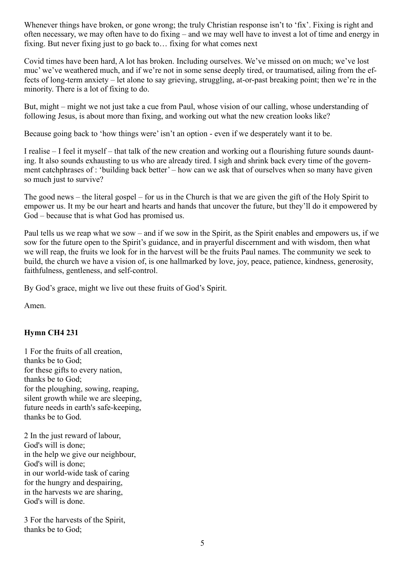Whenever things have broken, or gone wrong; the truly Christian response isn't to 'fix'. Fixing is right and often necessary, we may often have to do fixing – and we may well have to invest a lot of time and energy in fixing. But never fixing just to go back to… fixing for what comes next

Covid times have been hard, A lot has broken. Including ourselves. We've missed on on much; we've lost muc' we've weathered much, and if we're not in some sense deeply tired, or traumatised, ailing from the effects of long-term anxiety – let alone to say grieving, struggling, at-or-past breaking point; then we're in the minority. There is a lot of fixing to do.

But, might – might we not just take a cue from Paul, whose vision of our calling, whose understanding of following Jesus, is about more than fixing, and working out what the new creation looks like?

Because going back to 'how things were' isn't an option - even if we desperately want it to be.

I realise – I feel it myself – that talk of the new creation and working out a flourishing future sounds daunting. It also sounds exhausting to us who are already tired. I sigh and shrink back every time of the government catchphrases of : 'building back better' – how can we ask that of ourselves when so many have given so much just to survive?

The good news – the literal gospel – for us in the Church is that we are given the gift of the Holy Spirit to empower us. It my be our heart and hearts and hands that uncover the future, but they'll do it empowered by God – because that is what God has promised us.

Paul tells us we reap what we sow – and if we sow in the Spirit, as the Spirit enables and empowers us, if we sow for the future open to the Spirit's guidance, and in prayerful discernment and with wisdom, then what we will reap, the fruits we look for in the harvest will be the fruits Paul names. The community we seek to build, the church we have a vision of, is one hallmarked by love, joy, peace, patience, kindness, generosity, faithfulness, gentleness, and self-control.

By God's grace, might we live out these fruits of God's Spirit.

Amen.

#### **Hymn CH4 231**

1 For the fruits of all creation, thanks be to God; for these gifts to every nation, thanks be to God; for the ploughing, sowing, reaping, silent growth while we are sleeping, future needs in earth's safe-keeping, thanks be to God.

2 In the just reward of labour, God's will is done; in the help we give our neighbour, God's will is done; in our world-wide task of caring for the hungry and despairing, in the harvests we are sharing, God's will is done.

3 For the harvests of the Spirit, thanks be to God;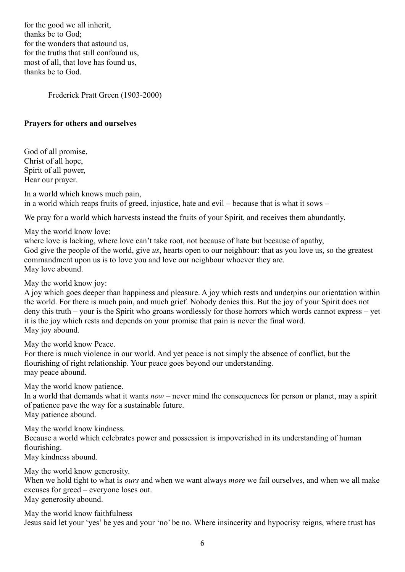for the good we all inherit, thanks be to God; for the wonders that astound us, for the truths that still confound us, most of all, that love has found us, thanks be to God.

Frederick Pratt Green (1903-2000)

#### **Prayers for others and ourselves**

God of all promise, Christ of all hope, Spirit of all power, Hear our prayer.

In a world which knows much pain, in a world which reaps fruits of greed, injustice, hate and evil – because that is what it sows –

We pray for a world which harvests instead the fruits of your Spirit, and receives them abundantly.

May the world know love:

where love is lacking, where love can't take root, not because of hate but because of apathy, God give the people of the world, give *us*, hearts open to our neighbour: that as you love us, so the greatest commandment upon us is to love you and love our neighbour whoever they are. May love abound.

May the world know joy:

A joy which goes deeper than happiness and pleasure. A joy which rests and underpins our orientation within the world. For there is much pain, and much grief. Nobody denies this. But the joy of your Spirit does not deny this truth – your is the Spirit who groans wordlessly for those horrors which words cannot express – yet it is the joy which rests and depends on your promise that pain is never the final word. May joy abound.

May the world know Peace.

For there is much violence in our world. And yet peace is not simply the absence of conflict, but the flourishing of right relationship. Your peace goes beyond our understanding. may peace abound.

May the world know patience.

In a world that demands what it wants *now* – never mind the consequences for person or planet, may a spirit of patience pave the way for a sustainable future.

May patience abound.

May the world know kindness.

Because a world which celebrates power and possession is impoverished in its understanding of human flourishing.

May kindness abound.

May the world know generosity.

When we hold tight to what is *ours* and when we want always *more* we fail ourselves, and when we all make excuses for greed – everyone loses out. May generosity abound.

May the world know faithfulness

Jesus said let your 'yes' be yes and your 'no' be no. Where insincerity and hypocrisy reigns, where trust has